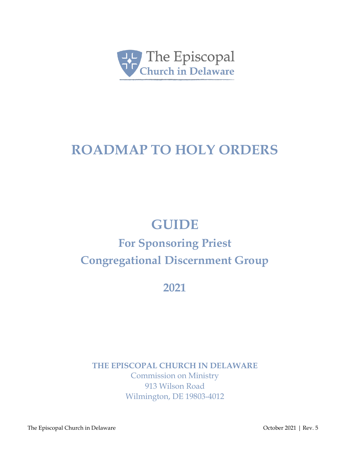

# **ROADMAP TO HOLY ORDERS**

# **GUIDE**

# **For Sponsoring Priest Congregational Discernment Group**

**2021**

**THE EPISCOPAL CHURCH IN DELAWARE**

Commission on Ministry 913 Wilson Road Wilmington, DE 19803-4012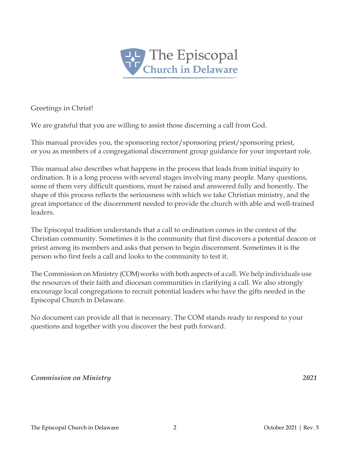

Greetings in Christ!

We are grateful that you are willing to assist those discerning a call from God.

This manual provides you, the sponsoring rector/sponsoring priest/sponsoring priest, or you as members of a congregational discernment group guidance for your important role.

This manual also describes what happens in the process that leads from initial inquiry to ordination. It is a long process with several stages involving many people. Many questions, some of them very difficult questions, must be raised and answered fully and honestly. The shape of this process reflects the seriousness with which we take Christian ministry, and the great importance of the discernment needed to provide the church with able and well-trained leaders.

The Episcopal tradition understands that a call to ordination comes in the context of the Christian community. Sometimes it is the community that first discovers a potential deacon or priest among its members and asks that person to begin discernment. Sometimes it is the person who first feels a call and looks to the community to test it.

The Commission on Ministry (COM)works with both aspects of a call. We help individuals use the resources of their faith and diocesan communities in clarifying a call. We also strongly encourage local congregations to recruit potential leaders who have the gifts needed in the Episcopal Church in Delaware.

No document can provide all that is necessary. The COM stands ready to respond to your questions and together with you discover the best path forward.

*Commission on Ministry 2021*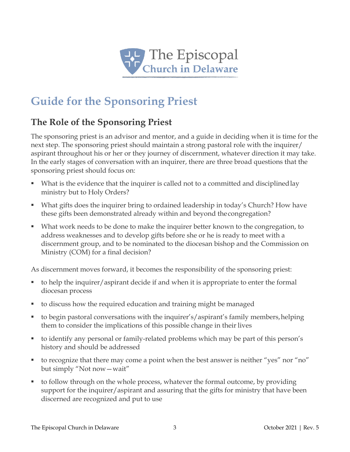

# **Guide for the Sponsoring Priest**

# **The Role of the Sponsoring Priest**

The sponsoring priest is an advisor and mentor, and a guide in deciding when it is time for the next step. The sponsoring priest should maintain a strong pastoral role with the inquirer/ aspirant throughout his or her or they journey of discernment, whatever direction it may take. In the early stages of conversation with an inquirer, there are three broad questions that the sponsoring priest should focus on:

- What is the evidence that the inquirer is called not to a committed and disciplinedlay ministry but to Holy Orders?
- What gifts does the inquirer bring to ordained leadership in today's Church? How have these gifts been demonstrated already within and beyond the congregation?
- What work needs to be done to make the inquirer better known to the congregation, to address weaknesses and to develop gifts before she or he is ready to meet with a discernment group, and to be nominated to the diocesan bishop and the Commission on Ministry (COM) for a final decision?

As discernment moves forward, it becomes the responsibility of the sponsoring priest:

- $\bullet$  to help the inquirer/aspirant decide if and when it is appropriate to enter the formal diocesan process
- to discuss how the required education and training might be managed
- to begin pastoral conversations with the inquirer's/aspirant's family members,helping them to consider the implications of this possible change in their lives
- to identify any personal or family-related problems which may be part of this person's history and should be addressed
- to recognize that there may come a point when the best answer is neither "yes" nor "no" but simply "Not now—wait"
- to follow through on the whole process, whatever the formal outcome, by providing support for the inquirer/aspirant and assuring that the gifts for ministry that have been discerned are recognized and put to use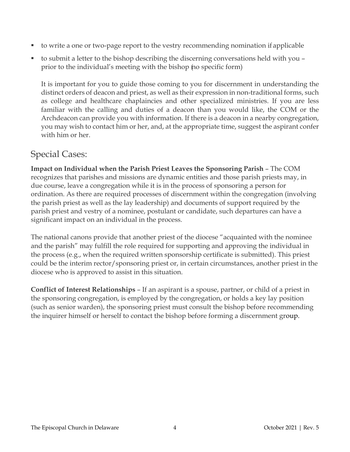- to write a one or two-page report to the vestry recommending nomination if applicable
- to submit a letter to the bishop describing the discerning conversations held with you prior to the individual's meeting with the bishop (no specific form)

It is important for you to guide those coming to you for discernment in understanding the distinct orders of deacon and priest, as well as their expression in non-traditional forms, such as college and healthcare chaplaincies and other specialized ministries. If you are less familiar with the calling and duties of a deacon than you would like, the COM or the Archdeacon can provide you with information. If there is a deacon in a nearby congregation, you may wish to contact him or her, and, at the appropriate time, suggest the aspirant confer with him or her.

## Special Cases:

**Impact on Individual when the Parish Priest Leaves the Sponsoring Parish** – The COM recognizes that parishes and missions are dynamic entities and those parish priests may, in due course, leave a congregation while it is in the process of sponsoring a person for ordination. As there are required processes of discernment within the congregation (involving the parish priest as well as the lay leadership) and documents of support required by the parish priest and vestry of a nominee, postulant or candidate, such departures can have a significant impact on an individual in the process.

The national canons provide that another priest of the diocese "acquainted with the nominee and the parish" may fulfill the role required for supporting and approving the individual in the process (e.g., when the required written sponsorship certificate is submitted). This priest could be the interim rector/sponsoring priest or, in certain circumstances, another priest in the diocese who is approved to assist in this situation.

**Conflict of Interest Relationships** – If an aspirant is a spouse, partner, or child of a priest in the sponsoring congregation, is employed by the congregation, or holds a key lay position (such as senior warden), the sponsoring priest must consult the bishop before recommending the inquirer himself or herself to contact the bishop before forming a discernment group.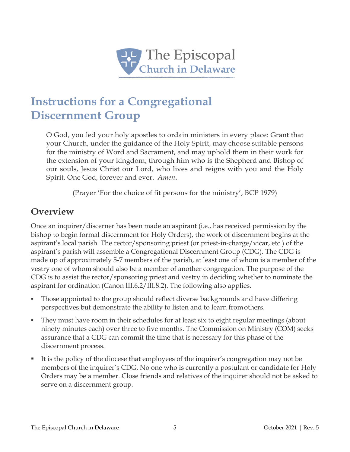

# **Instructions for a Congregational Discernment Group**

O God, you led your holy apostles to ordain ministers in every place: Grant that your Church, under the guidance of the Holy Spirit, may choose suitable persons for the ministry of Word and Sacrament, and may uphold them in their work for the extension of your kingdom; through him who is the Shepherd and Bishop of our souls, Jesus Christ our Lord, who lives and reigns with you and the Holy Spirit, One God, forever and ever. *Amen***.**

(Prayer 'For the choice of fit persons for the ministry', BCP 1979)

## **Overview**

Once an inquirer/discerner has been made an aspirant (i.e., has received permission by the bishop to begin formal discernment for Holy Orders), the work of discernment begins at the aspirant's local parish. The rector/sponsoring priest (or priest-in-charge/vicar, etc.) of the aspirant's parish will assemble a Congregational Discernment Group (CDG). The CDG is made up of approximately 5-7 members of the parish, at least one of whom is a member of the vestry one of whom should also be a member of another congregation. The purpose of the CDG is to assist the rector/sponsoring priest and vestry in deciding whether to nominate the aspirant for ordination (Canon III.6.2/III.8.2). The following also applies.

- Those appointed to the group should reflect diverse backgrounds and have differing perspectives but demonstrate the ability to listen and to learn fromothers.
- They must have room in their schedules for at least six to eight regular meetings (about ninety minutes each) over three to five months. The Commission on Ministry (COM) seeks assurance that a CDG can commit the time that is necessary for this phase of the discernment process.
- It is the policy of the diocese that employees of the inquirer's congregation may not be members of the inquirer's CDG. No one who is currently a postulant or candidate for Holy Orders may be a member. Close friends and relatives of the inquirer should not be asked to serve on a discernment group.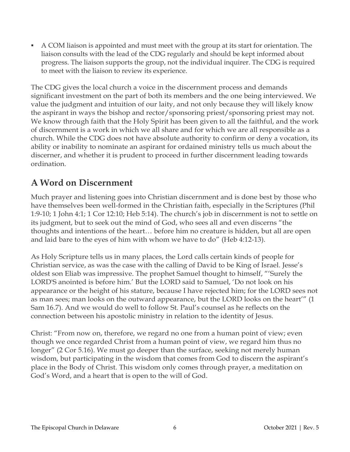A COM liaison is appointed and must meet with the group at its start for orientation. The liaison consults with the lead of the CDG regularly and should be kept informed about progress. The liaison supports the group, not the individual inquirer. The CDG is required to meet with the liaison to review its experience.

The CDG gives the local church a voice in the discernment process and demands significant investment on the part of both its members and the one being interviewed. We value the judgment and intuition of our laity, and not only because they will likely know the aspirant in ways the bishop and rector/sponsoring priest/sponsoring priest may not. We know through faith that the Holy Spirit has been given to all the faithful, and the work of discernment is a work in which we all share and for which we are all responsible as a church. While the CDG does not have absolute authority to confirm or deny a vocation, its ability or inability to nominate an aspirant for ordained ministry tells us much about the discerner, and whether it is prudent to proceed in further discernment leading towards ordination.

## **A Word on Discernment**

Much prayer and listening goes into Christian discernment and is done best by those who have themselves been well-formed in the Christian faith, especially in the Scriptures (Phil 1:9-10; 1 John 4:1; 1 Cor 12:10; Heb 5:14). The church's job in discernment is not to settle on its judgment, but to seek out the mind of God, who sees all and even discerns "the thoughts and intentions of the heart… before him no creature is hidden, but all are open and laid bare to the eyes of him with whom we have to do" (Heb 4:12-13).

As Holy Scripture tells us in many places, the Lord calls certain kinds of people for Christian service, as was the case with the calling of David to be King of Israel. Jesse's oldest son Eliab was impressive. The prophet Samuel thought to himself, "'Surely the LORD'S anointed is before him.' But the LORD said to Samuel, 'Do not look on his appearance or the height of his stature, because I have rejected him; for the LORD sees not as man sees; man looks on the outward appearance, but the LORD looks on the heart'" (1 Sam 16.7). And we would do well to follow St. Paul's counsel as he reflects on the connection between his apostolic ministry in relation to the identity of Jesus.

Christ: "From now on, therefore, we regard no one from a human point of view; even though we once regarded Christ from a human point of view, we regard him thus no longer" (2 Cor 5.16). We must go deeper than the surface, seeking not merely human wisdom, but participating in the wisdom that comes from God to discern the aspirant's place in the Body of Christ. This wisdom only comes through prayer, a meditation on God's Word, and a heart that is open to the will of God.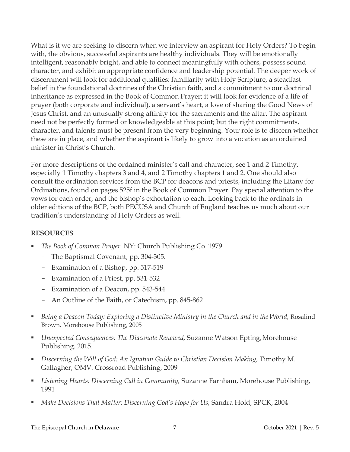What is it we are seeking to discern when we interview an aspirant for Holy Orders? To begin with, the obvious, successful aspirants are healthy individuals. They will be emotionally intelligent, reasonably bright, and able to connect meaningfully with others, possess sound character, and exhibit an appropriate confidence and leadership potential. The deeper work of discernment will look for additional qualities: familiarity with Holy Scripture, a steadfast belief in the foundational doctrines of the Christian faith, and a commitment to our doctrinal inheritance as expressed in the Book of Common Prayer; it will look for evidence of a life of prayer (both corporate and individual), a servant's heart, a love of sharing the Good News of Jesus Christ, and an unusually strong affinity for the sacraments and the altar. The aspirant need not be perfectly formed or knowledgeable at this point; but the right commitments, character, and talents must be present from the very beginning. Your role is to discern whether these are in place, and whether the aspirant is likely to grow into a vocation as an ordained minister in Christ's Church.

For more descriptions of the ordained minister's call and character, see 1 and 2 Timothy, especially 1 Timothy chapters 3 and 4, and 2 Timothy chapters 1 and 2. One should also consult the ordination services from the BCP for deacons and priests, including the Litany for Ordinations, found on pages 525f in the Book of Common Prayer. Pay special attention to the vows for each order, and the bishop's exhortation to each. Looking back to the ordinals in older editions of the BCP, both PECUSA and Church of England teaches us much about our tradition's understanding of Holy Orders as well.

#### **RESOURCES**

- *The Book of Common Prayer*. NY: Church Publishing Co. 1979.
	- The Baptismal Covenant, pp. 304-305.
	- Examination of a Bishop, pp. 517-519
	- Examination of a Priest, pp. 531-532
	- Examination of a Deacon, pp. 543-544
	- An Outline of the Faith, or Catechism, pp. 845-862
- *Being a Deacon Today: Exploring a Distinctive Ministry in the Church and in the World,* Rosalind Brown. Morehouse Publishing, 2005
- *Unexpected Consequences: The Diaconate Renewed,* Suzanne Watson Epting,Morehouse Publishing. 2015.
- *Discerning the Will of God: An Ignatian Guide to Christian Decision Making,* Timothy M. Gallagher, OMV. Crossroad Publishing, 2009
- *Listening Hearts: Discerning Call in Community,* Suzanne Farnham, Morehouse Publishing, 1991
- *Make Decisions That Matter: Discerning God's Hope for Us,* Sandra Hold, SPCK, 2004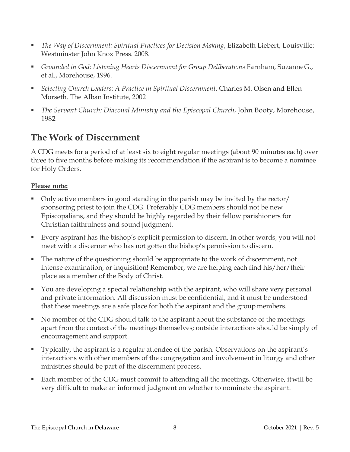- *The Way of Discernment: Spiritual Practices for Decision Making*, Elizabeth Liebert, Louisville: Westminster John Knox Press. 2008.
- *Grounded in God: Listening Hearts Discernment for Group Deliberations* Farnham, SuzanneG., et al., Morehouse, 1996.
- **•** Selecting Church Leaders: A Practice in Spiritual Discernment. Charles M. Olsen and Ellen Morseth. The Alban Institute, 2002
- *The Servant Church: Diaconal Ministry and the Episcopal Church*, John Booty, Morehouse, 1982

# **The Work of Discernment**

A CDG meets for a period of at least six to eight regular meetings (about 90 minutes each) over three to five months before making its recommendation if the aspirant is to become a nominee for Holy Orders.

### **Please note:**

- Only active members in good standing in the parish may be invited by the rector/ sponsoring priest to join the CDG. Preferably CDG members should not be new Episcopalians, and they should be highly regarded by their fellow parishioners for Christian faithfulness and sound judgment.
- Every aspirant has the bishop's explicit permission to discern. In other words, you will not meet with a discerner who has not gotten the bishop's permission to discern.
- The nature of the questioning should be appropriate to the work of discernment, not intense examination, or inquisition! Remember, we are helping each find his/her/their place as a member of the Body of Christ.
- You are developing a special relationship with the aspirant, who will share very personal and private information. All discussion must be confidential, and it must be understood that these meetings are a safe place for both the aspirant and the group members.
- No member of the CDG should talk to the aspirant about the substance of the meetings apart from the context of the meetings themselves; outside interactions should be simply of encouragement and support.
- Typically, the aspirant is a regular attendee of the parish. Observations on the aspirant's interactions with other members of the congregation and involvement in liturgy and other ministries should be part of the discernment process.
- Each member of the CDG must commit to attending all the meetings. Otherwise, itwill be very difficult to make an informed judgment on whether to nominate the aspirant.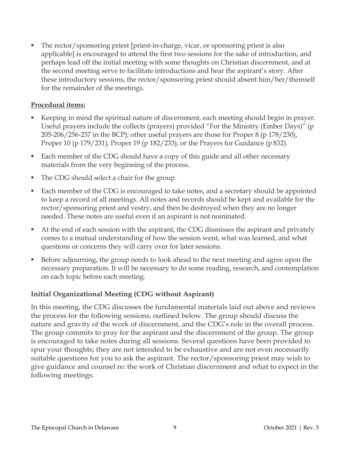The rector/sponsoring priest [priest-in-charge, vicar, or sponsoring priest is also applicable] is encouraged to attend the first two sessions for the sake of introduction, and perhaps lead off the initial meeting with some thoughts on Christian discernment, and at the second meeting serve to facilitate introductions and hear the aspirant's story. After these introductory sessions, the rector/sponsoring priest should absent him/her/themself for the remainder of the meetings.

#### **Procedural items:**

- Keeping in mind the spiritual nature of discernment, each meeting should begin in prayer. Useful prayers include the collects (prayers) provided "For the Ministry (Ember Days)" (p 205-206/256-257 in the BCP); other useful prayers are those for Proper 8 (p 178/230), Proper 10 (p 179/231), Proper 19 (p 182/233), or the Prayers for Guidance (p 832).
- Each member of the CDG should have a copy of this guide and all other necessary materials from the very beginning of the process.
- The CDG should select a chair for the group.
- Each member of the CDG is encouraged to take notes, and a secretary should be appointed to keep a record of all meetings. All notes and records should be kept and available for the rector/sponsoring priest and vestry, and then be destroyed when they are no longer needed. These notes are useful even if an aspirant is not nominated.
- At the end of each session with the aspirant, the CDG dismisses the aspirant and privately comes to a mutual understanding of how the session went, what was learned, and what questions or concerns they will carry over for later sessions.
- Before adjourning, the group needs to look ahead to the next meeting and agree upon the necessary preparation. It will be necessary to do some reading, research, and contemplation on each topic before each meeting.

### **Initial Organizational Meeting (CDG without Aspirant)**

In this meeting, the CDG discusses the fundamental materials laid out above and reviews the process for the following sessions, outlined below. The group should discuss the nature and gravity of the work of discernment, and the CDG's role in the overall process. The group commits to pray for the aspirant and the discernment of the group. The group is encouraged to take notes during all sessions. Several questions have been provided to spur your thoughts; they are not intended to be exhaustive and are not even necessarily suitable questions for you to ask the aspirant. The rector/sponsoring priest may wish to give guidance and counsel re: the work of Christian discernment and what to expect in the following meetings.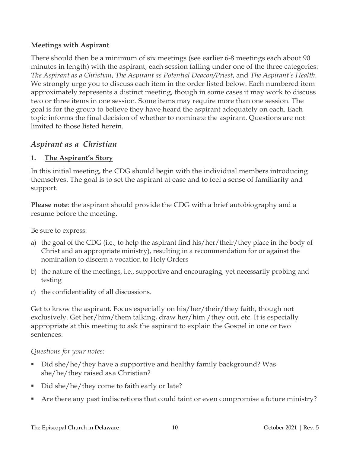#### **Meetings with Aspirant**

There should then be a minimum of six meetings (see earlier 6-8 meetings each about 90 minutes in length) with the aspirant, each session falling under one of the three categories: *The Aspirant as a Christian*, *The Aspirant as Potential Deacon/Priest*, and *The Aspirant's Health*. We strongly urge you to discuss each item in the order listed below. Each numbered item approximately represents a distinct meeting, though in some cases it may work to discuss two or three items in one session. Some items may require more than one session. The goal is for the group to believe they have heard the aspirant adequately on each. Each topic informs the final decision of whether to nominate the aspirant. Questions are not limited to those listed herein.

### *Aspirant as a Christian*

#### **1. The Aspirant's Story**

In this initial meeting, the CDG should begin with the individual members introducing themselves. The goal is to set the aspirant at ease and to feel a sense of familiarity and support.

**Please note**: the aspirant should provide the CDG with a brief autobiography and a resume before the meeting.

Be sure to express:

- a) the goal of the CDG (i.e., to help the aspirant find his/her/their/they place in the body of Christ and an appropriate ministry), resulting in a recommendation for or against the nomination to discern a vocation to Holy Orders
- b) the nature of the meetings, i.e., supportive and encouraging, yet necessarily probing and testing
- c) the confidentiality of all discussions.

Get to know the aspirant. Focus especially on his/her/their/they faith, though not exclusively. Get her/him/them talking, draw her/him /they out, etc. It is especially appropriate at this meeting to ask the aspirant to explain the Gospel in one or two sentences.

#### *Questions for your notes:*

- Did she/he/they have a supportive and healthy family background? Was she/he/they raised asa Christian?
- Did she/he/they come to faith early or late?
- Are there any past indiscretions that could taint or even compromise a future ministry?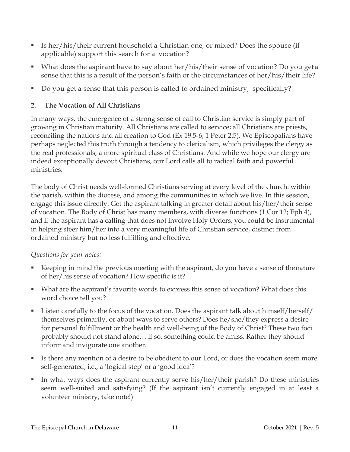- Is her/his/their current household a Christian one, or mixed? Does the spouse (if applicable) support this search for a vocation?
- What does the aspirant have to say about her/his/their sense of vocation? Do you geta sense that this is a result of the person's faith or the circumstances of her/his/their life?
- Do you get a sense that this person is called to ordained ministry, specifically?

### **2. The Vocation of All Christians**

In many ways, the emergence of a strong sense of call to Christian service is simply part of growing in Christian maturity. All Christians are called to service; all Christians are priests, reconciling the nations and all creation to God (Ex 19:5-6; 1 Peter 2:5). We Episcopalians have perhaps neglected this truth through a tendency to clericalism, which privileges the clergy as the real professionals, a more spiritual class of Christians. And while we hope our clergy are indeed exceptionally devout Christians, our Lord calls all to radical faith and powerful ministries.

The body of Christ needs well-formed Christians serving at every level of the church: within the parish, within the diocese, and among the communities in which we live. In this session, engage this issue directly. Get the aspirant talking in greater detail about his/her/their sense of vocation. The Body of Christ has many members, with diverse functions (1 Cor 12; Eph 4), and if the aspirant has a calling that does not involve Holy Orders, you could be instrumental in helping steer him/her into a very meaningful life of Christian service, distinct from ordained ministry but no less fulfilling and effective.

### *Questions for your notes:*

- Keeping in mind the previous meeting with the aspirant, do you have a sense of thenature of her/his sense of vocation? How specific is it?
- What are the aspirant's favorite words to express this sense of vocation? What does this word choice tell you?
- Listen carefully to the focus of the vocation. Does the aspirant talk about himself/herself/ themselves primarily, or about ways to serve others? Does he/she/they express a desire for personal fulfillment or the health and well-being of the Body of Christ? These two foci probably should not stand alone… if so, something could be amiss. Rather they should informand invigorate one another.
- Is there any mention of a desire to be obedient to our Lord, or does the vocation seem more self-generated, i.e., a 'logical step' or a 'good idea'?
- In what ways does the aspirant currently serve his/her/their parish? Do these ministries seem well-suited and satisfying? (If the aspirant isn't currently engaged in at least a volunteer ministry, take note!)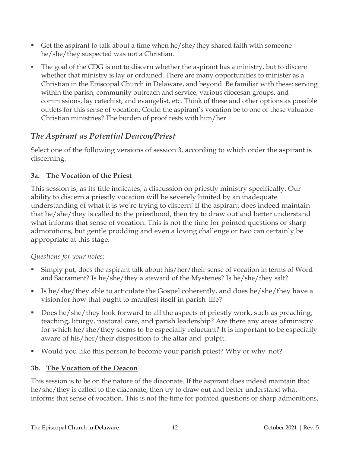- Get the aspirant to talk about a time when  $he/she/$  they shared faith with someone he/she/they suspected was not a Christian.
- The goal of the CDG is not to discern whether the aspirant has a ministry, but to discern whether that ministry is lay or ordained. There are many opportunities to minister as a Christian in the Episcopal Church in Delaware, and beyond. Be familiar with these: serving within the parish, community outreach and service, various diocesan groups, and commissions, lay catechist, and evangelist, etc. Think of these and other options as possible outlets for this sense of vocation. Could the aspirant's vocation be to one of these valuable Christian ministries? The burden of proof rests with him/her.

### *The Aspirant as Potential Deacon/Priest*

Select one of the following versions of session 3, according to which order the aspirant is discerning.

### **3a. The Vocation of the Priest**

This session is, as its title indicates, a discussion on priestly ministry specifically. Our ability to discern a priestly vocation will be severely limited by an inadequate understanding of what it is we're trying to discern! If the aspirant does indeed maintain that he/she/they is called to the priesthood, then try to draw out and better understand what informs that sense of vocation. This is not the time for pointed questions or sharp admonitions, but gentle prodding and even a loving challenge or two can certainly be appropriate at this stage.

### *Questions for your notes:*

- Simply put, does the aspirant talk about his/her/their sense of vocation in terms of Word and Sacrament? Is he/she/they a steward of the Mysteries? Is he/she/they salt?
- Is he/she/they able to articulate the Gospel coherently, and does he/she/they have a visionfor how that ought to manifest itself in parish life?
- Does he/she/they look forward to all the aspects of priestly work, such as preaching, teaching, liturgy, pastoral care, and parish leadership? Are there any areas ofministry for which he/she/they seems to be especially reluctant? It is important to be especially aware of his/her/their disposition to the altar and pulpit.
- Would you like this person to become your parish priest? Why or why not?

### **3b. The Vocation of the Deacon**

This session is to be on the nature of the diaconate. If the aspirant does indeed maintain that he/she/they is called to the diaconate, then try to draw out and better understand what informs that sense of vocation. This is not the time for pointed questions or sharp admonitions,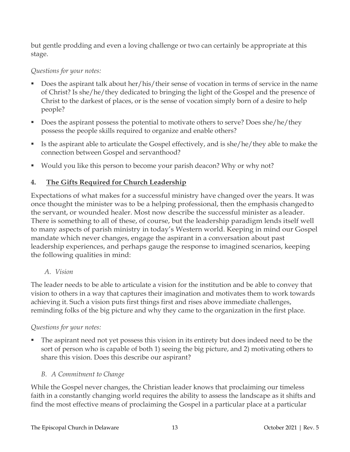but gentle prodding and even a loving challenge or two can certainly be appropriate at this stage.

### *Questions for your notes:*

- Does the aspirant talk about her/his/their sense of vocation in terms of service in the name of Christ? Is she/he/they dedicated to bringing the light of the Gospel and the presence of Christ to the darkest of places, or is the sense of vocation simply born of a desire to help people?
- Does the aspirant possess the potential to motivate others to serve? Does she/he/they possess the people skills required to organize and enable others?
- Is the aspirant able to articulate the Gospel effectively, and is she/he/they able to make the connection between Gospel and servanthood?
- Would you like this person to become your parish deacon? Why or why not?

### **4. The Gifts Required for Church Leadership**

Expectations of what makes for a successful ministry have changed over the years. It was once thought the minister was to be a helping professional, then the emphasis changedto the servant, or wounded healer. Most now describe the successful minister as a leader. There is something to all of these, of course, but the leadership paradigm lends itself well to many aspects of parish ministry in today's Western world. Keeping in mind our Gospel mandate which never changes, engage the aspirant in a conversation about past leadership experiences, and perhaps gauge the response to imagined scenarios, keeping the following qualities in mind:

### *A. Vision*

The leader needs to be able to articulate a vision for the institution and be able to convey that vision to others in a way that captures their imagination and motivates them to work towards achieving it. Such a vision puts first things first and rises above immediate challenges, reminding folks of the big picture and why they came to the organization in the first place.

### *Questions for your notes:*

 The aspirant need not yet possess this vision in its entirety but does indeed need to be the sort of person who is capable of both 1) seeing the big picture, and 2) motivating others to share this vision. Does this describe our aspirant?

### *B. A Commitment to Change*

While the Gospel never changes, the Christian leader knows that proclaiming our timeless faith in a constantly changing world requires the ability to assess the landscape as it shifts and find the most effective means of proclaiming the Gospel in a particular place at a particular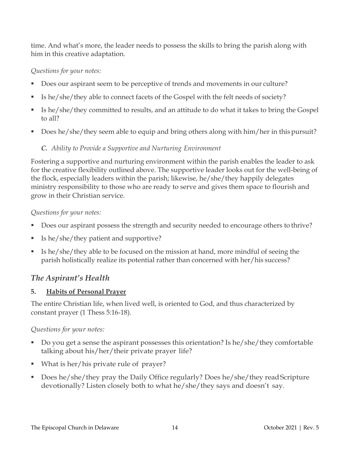time. And what's more, the leader needs to possess the skills to bring the parish along with him in this creative adaptation.

#### *Questions for your notes:*

- Does our aspirant seem to be perceptive of trends and movements in our culture?
- Is he/she/they able to connect facets of the Gospel with the felt needs of society?
- Is he/she/they committed to results, and an attitude to do what it takes to bring the Gospel to all?
- Does he/she/they seem able to equip and bring others along with him/her in this pursuit?

### *C. Ability to Provide a Supportive and Nurturing Environment*

Fostering a supportive and nurturing environment within the parish enables the leader to ask for the creative flexibility outlined above. The supportive leader looks out for the well-being of the flock, especially leaders within the parish; likewise, he/she/they happily delegates ministry responsibility to those who are ready to serve and gives them space to flourish and grow in their Christian service.

### *Questions for your notes:*

- Does our aspirant possess the strength and security needed to encourage others to thrive?
- Is he/she/they patient and supportive?
- Is he/she/they able to be focused on the mission at hand, more mindful of seeing the parish holistically realize its potential rather than concerned with her/his success?

### *The Aspirant's Health*

### **5. Habits of Personal Prayer**

The entire Christian life, when lived well, is oriented to God, and thus characterized by constant prayer (1 Thess 5:16-18).

### *Questions for your notes:*

- Do you get a sense the aspirant possesses this orientation? Is he/she/they comfortable talking about his/her/their private prayer life?
- What is her/his private rule of prayer?
- Does he/she/they pray the Daily Office regularly? Does he/she/they read Scripture devotionally? Listen closely both to what he/she/they says and doesn't say.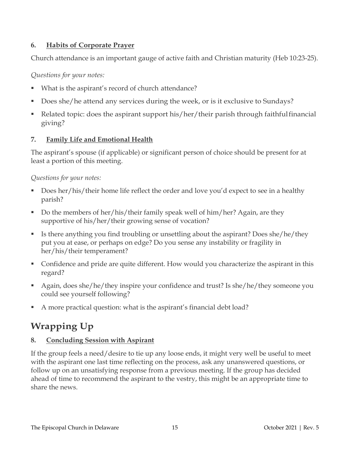### **6. Habits of Corporate Prayer**

Church attendance is an important gauge of active faith and Christian maturity (Heb 10:23-25).

*Questions for your notes:*

- What is the aspirant's record of church attendance?
- Does she/he attend any services during the week, or is it exclusive to Sundays?
- Related topic: does the aspirant support his/her/their parish through faithfulfinancial giving?

### **7. Family Life and Emotional Health**

The aspirant's spouse (if applicable) or significant person of choice should be present for at least a portion of this meeting.

*Questions for your notes:*

- Does her/his/their home life reflect the order and love you'd expect to see in a healthy parish?
- Do the members of her/his/their family speak well of him/her? Again, are they supportive of his/her/their growing sense of vocation?
- Is there anything you find troubling or unsettling about the aspirant? Does she/he/they put you at ease, or perhaps on edge? Do you sense any instability or fragility in her/his/their temperament?
- Confidence and pride are quite different. How would you characterize the aspirant in this regard?
- Again, does she/he/they inspire your confidence and trust? Is she/he/they someone you could see yourself following?
- A more practical question: what is the aspirant's financial debt load?

# **Wrapping Up**

### **8. Concluding Session with Aspirant**

If the group feels a need/desire to tie up any loose ends, it might very well be useful to meet with the aspirant one last time reflecting on the process, ask any unanswered questions, or follow up on an unsatisfying response from a previous meeting. If the group has decided ahead of time to recommend the aspirant to the vestry, this might be an appropriate time to share the news.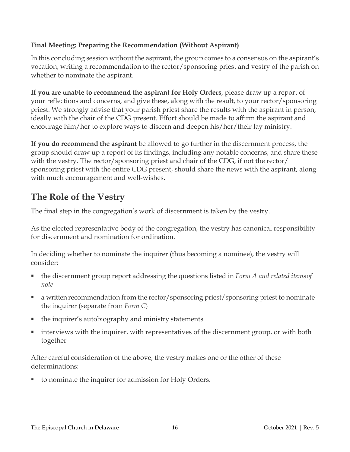### **Final Meeting: Preparing the Recommendation (Without Aspirant)**

In this concluding session without the aspirant, the group comes to a consensus on the aspirant's vocation, writing a recommendation to the rector/sponsoring priest and vestry of the parish on whether to nominate the aspirant.

**If you are unable to recommend the aspirant for Holy Orders**, please draw up a report of your reflections and concerns, and give these, along with the result, to your rector/sponsoring priest. We strongly advise that your parish priest share the results with the aspirant in person, ideally with the chair of the CDG present. Effort should be made to affirm the aspirant and encourage him/her to explore ways to discern and deepen his/her/their lay ministry.

**If you do recommend the aspirant** be allowed to go further in the discernment process, the group should draw up a report of its findings, including any notable concerns, and share these with the vestry. The rector/sponsoring priest and chair of the CDG, if not the rector/ sponsoring priest with the entire CDG present, should share the news with the aspirant, along with much encouragement and well-wishes.

# **The Role of the Vestry**

The final step in the congregation's work of discernment is taken by the vestry.

As the elected representative body of the congregation, the vestry has canonical responsibility for discernment and nomination for ordination.

In deciding whether to nominate the inquirer (thus becoming a nominee), the vestry will consider:

- the discernment group report addressing the questions listed in *Form A and related itemsof note*
- a written recommendation from the rector/sponsoring priest/sponsoring priest to nominate the inquirer (separate from *Form C*)
- the inquirer's autobiography and ministry statements
- interviews with the inquirer, with representatives of the discernment group, or with both together

After careful consideration of the above, the vestry makes one or the other of these determinations:

to nominate the inquirer for admission for Holy Orders.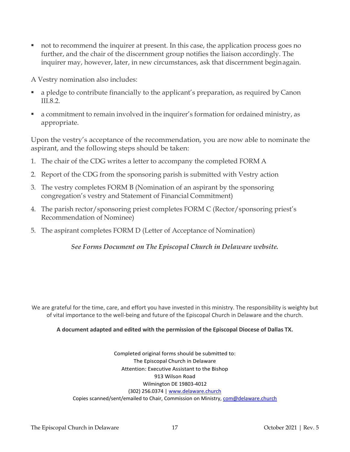not to recommend the inquirer at present. In this case, the application process goes no further, and the chair of the discernment group notifies the liaison accordingly. The inquirer may, however, later, in new circumstances, ask that discernment beginagain.

A Vestry nomination also includes:

- a pledge to contribute financially to the applicant's preparation, as required by Canon III.8.2.
- a commitment to remain involved in the inquirer's formation for ordained ministry, as appropriate.

Upon the vestry's acceptance of the recommendation, you are now able to nominate the aspirant, and the following steps should be taken:

- 1. The chair of the CDG writes a letter to accompany the completed FORM A
- 2. Report of the CDG from the sponsoring parish is submitted with Vestry action
- 3. The vestry completes FORM B (Nomination of an aspirant by the sponsoring congregation's vestry and Statement of Financial Commitment)
- 4. The parish rector/sponsoring priest completes FORM C (Rector/sponsoring priest's Recommendation of Nominee)
- 5. The aspirant completes FORM D (Letter of Acceptance of Nomination)

*See Forms Document on The Episcopal Church in Delaware website.*

We are grateful for the time, care, and effort you have invested in this ministry. The responsibility is weighty but of vital importance to the well-being and future of the Episcopal Church in Delaware and the church.

#### **A document adapted and edited with the permission of the Episcopal Diocese of Dallas TX.**

Completed original forms should be submitted to: The Episcopal Church in Delaware Attention: Executive Assistant to the Bishop 913 Wilson Road Wilmington DE 19803-4012 (302) 256.0374 | [www.delaware.church](http://www.delaware.church/) Copies scanned/sent/emailed to Chair, Commission on Ministry[, com@delaware.church](mailto:com@delaware.church)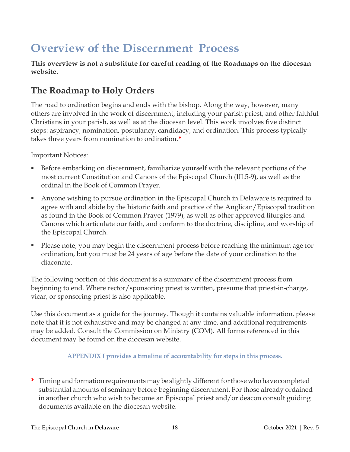# **Overview of the Discernment Process**

**This overview is not a substitute for careful reading of the Roadmaps on the diocesan website.**

# **The Roadmap to Holy Orders**

The road to ordination begins and ends with the bishop. Along the way, however, many others are involved in the work of discernment, including your parish priest, and other faithful Christians in your parish, as well as at the diocesan level. This work involves five distinct steps: aspirancy, nomination, postulancy, candidacy, and ordination. This process typically takes three years from nomination to ordination.**\***

Important Notices:

- Before embarking on discernment, familiarize yourself with the relevant portions of the most current Constitution and Canons of the Episcopal Church (III.5-9), as well as the ordinal in the Book of Common Prayer.
- Anyone wishing to pursue ordination in the Episcopal Church in Delaware is required to agree with and abide by the historic faith and practice of the Anglican/Episcopal tradition as found in the Book of Common Prayer (1979), as well as other approved liturgies and Canons which articulate our faith, and conform to the doctrine, discipline, and worship of the Episcopal Church.
- Please note, you may begin the discernment process before reaching the minimum age for ordination, but you must be 24 years of age before the date of your ordination to the diaconate.

The following portion of this document is a summary of the discernment process from beginning to end. Where rector/sponsoring priest is written, presume that priest-in-charge, vicar, or sponsoring priest is also applicable.

Use this document as a guide for the journey. Though it contains valuable information, please note that it is not exhaustive and may be changed at any time, and additional requirements may be added. Consult the Commission on Ministry (COM). All forms referenced in this document may be found on the diocesan website.

#### **APPENDIX I provides a timeline of accountability for steps in this process.**

\* Timing and formation requirements may be slightly different for those who have completed substantial amounts of seminary before beginning discernment. For those already ordained in another church who wish to become an Episcopal priest and/or deacon consult guiding documents available on the diocesan website.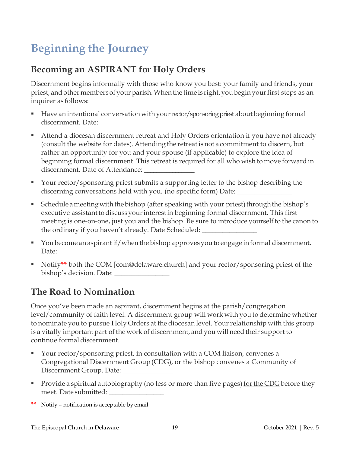# **Beginning the Journey**

# **Becoming an ASPIRANT for Holy Orders**

Discernment begins informally with those who know you best: your family and friends, your priest, and other members of your parish. When the time is right, you begin your first steps as an inquirer as follows:

- Have an intentional conversation with your rector/sponsoring priest about beginning formal discernment. Date:
- Attend a diocesan discernment retreat and Holy Orders orientation if you have not already (consult the website for dates). Attending the retreat is not a commitment to discern, but rather an opportunity for you and your spouse (if applicable) to explore the idea of beginning formal discernment. This retreat is required for all who wish to move forward in discernment. Date of Attendance:
- Your rector/sponsoring priest submits a supporting letter to the bishop describing the discerning conversations held with you. (no specific form) Date: \_\_\_\_\_\_\_\_\_\_\_\_\_\_\_
- Schedule a meeting with the bishop (after speaking with your priest) through the bishop's executive assistant to discuss your interest in beginning formal discernment. This first meeting is one-on-one, just you and the bishop. Be sure to introduce yourself to the canon to the ordinary if you haven't already. Date Scheduled: \_\_\_\_\_\_\_\_\_\_\_\_\_\_\_\_
- You become an aspirant if/when the bishop approves you to engage in formal discernment. Date:
- Notify**\*\*** both the COM [com@delaware.church] and your rector/sponsoring priest of the bishop's decision. Date:

# **The Road to Nomination**

Once you've been made an aspirant, discernment begins at the parish/congregation level/community of faith level. A discernment group will work with you to determine whether to nominate you to pursue Holy Orders at the diocesan level. Yourrelationship with this group is a vitally important part of the work of discernment, and you will need their support to continue formal discernment.

- Your rector/sponsoring priest, in consultation with a COM liaison, convenes a Congregational Discernment Group(CDG), or the bishop convenes a Community of Discernment Group. Date:
- **Provide a spiritual autobiography (no less or more than five pages) for the CDG before they** meet. Date submitted: \_\_\_\_\_\_\_\_\_\_\_\_\_\_\_\_
- **\*\*** Notify notification is acceptable by email.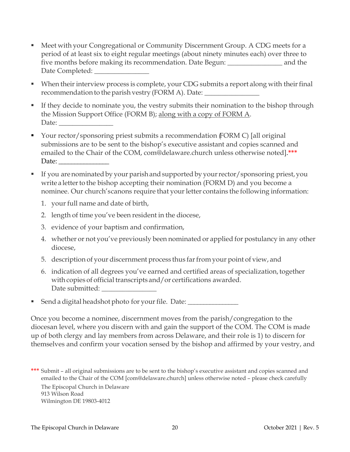- Meet with your Congregational or Community Discernment Group. A CDG meets for a period of at least six to eight regular meetings (about ninety minutes each) over three to five months before making its recommendation. Date Begun: \_\_\_\_\_\_\_\_\_\_\_\_\_\_\_\_ and the Date Completed: \_\_\_\_\_\_\_\_\_\_\_\_\_\_\_\_
- $\blacksquare$  When their interview process is complete, your CDG submits a report along with their final recommendation to the parish vestry (FORM A). Date:
- If they decide to nominate you, the vestry submits their nomination to the bishop through the Mission Support Office (FORM B); along with a copy of FORM A. Date:  $\frac{1}{2}$
- Your rector/sponsoring priest submits a recommendation (FORM C) [all original submissions are to be sent to the bishop's executive assistant and copies scanned and emailed to the Chair of the COM, [com@delaware.church](mailto:com@delaware.church) unless otherwise noted].**\*\*\*** Date:
- If you are nominated by your parish and supported by your rector/sponsoring priest, you write a letter to the bishop accepting their nomination (FORM D) and you become a nominee. Our church's canons require that your letter contains the following information:
	- 1. your full name and date of birth,
	- 2. length of time you've been resident in the diocese,
	- 3. evidence of your baptism and confirmation,
	- 4. whether or not you've previously been nominated or applied for postulancy in any other diocese,
	- 5. description of your discernment process thus farfrom your point of view, and
	- 6. indication of all degrees you've earned and certified areas of specialization, together with copies of official transcripts and/or certifications awarded. Date submitted:
- Send a digital headshot photo for your file. Date: \_\_\_\_\_\_\_\_\_\_\_\_\_\_\_\_\_\_\_\_\_\_\_\_\_\_\_\_\_\_

Once you become a nominee, discernment moves from the parish/congregation to the diocesan level, where you discern with and gain the support of the COM. The COM is made up of both clergy and lay members from across Delaware, and their role is 1) to discern for themselves and confirm your vocation sensed by the bishop and affirmed by your vestry, and

**\*\*\*** Submit – all original submissions are to be sent to the bishop's executive assistant and copies scanned and emailed to the Chair of the COM [\[com@delaware.church\]](about:blank) unless otherwise noted – please check carefully The Episcopal Church in Delaware 913 Wilson Road Wilmington DE 19803-4012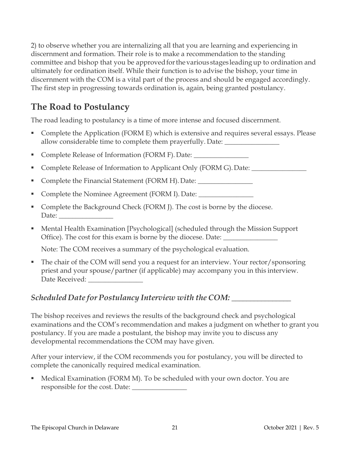2) to observe whether you are internalizing all that you are learning and experiencing in discernment and formation. Their role is to make a recommendation to the standing committee and bishop that you be approved for the various stages leading up to ordination and ultimately for ordination itself. While their function is to advise the bishop, your time in discernment with the COM is a vital part of the process and should be engaged accordingly. The first step in progressing towards ordination is, again, being granted postulancy.

# **The Road to Postulancy**

The road leading to postulancy is a time of more intense and focused discernment.

- Complete the Application (FORM E) which is extensive and requires several essays. Please allow considerable time to complete them prayerfully. Date:
- Complete Release of Information (FORM F). Date: \_\_\_\_\_\_\_\_\_\_\_\_\_\_\_\_\_\_\_\_\_\_\_\_\_\_\_\_\_\_
- Complete Release of Information to Applicant Only (FORM G). Date: \_\_\_\_\_\_\_\_\_\_\_\_
- Complete the Financial Statement (FORM H). Date: \_\_\_\_\_\_\_\_\_\_\_\_\_\_\_\_\_\_\_\_\_\_\_\_\_\_\_\_\_\_\_
- Complete the Nominee Agreement (FORM I). Date: \_\_\_\_\_\_\_\_\_\_\_\_\_\_\_\_\_\_\_\_\_\_\_\_\_\_\_\_\_\_\_\_\_
- Complete the Background Check (FORM J). The cost is borne by the diocese. Date:
- Mental Health Examination [Psychological] (scheduled through the Mission Support Office). The cost for this exam is borne by the diocese. Date: \_\_\_\_\_\_\_\_\_\_\_\_\_\_\_\_\_\_

Note: The COM receives a summary of the psychological evaluation.

 The chair of the COM will send you a request for an interview. Your rector/sponsoring priest and your spouse/partner (if applicable) may accompany you in this interview. Date Received: \_\_\_\_\_\_\_\_\_\_\_\_\_\_\_\_\_\_\_

### *Scheduled Date for Postulancy Interview with the COM:* \_\_\_\_\_\_\_\_\_\_\_\_\_\_\_\_

The bishop receives and reviews the results of the background check and psychological examinations and the COM's recommendation and makes a judgment on whether to grant you postulancy. If you are made a postulant, the bishop may invite you to discuss any developmental recommendations the COM may have given.

After your interview, if the COM recommends you for postulancy, you will be directed to complete the canonically required medical examination.

**Medical Examination (FORM M). To be scheduled with your own doctor. You are** responsible for the cost. Date: \_\_\_\_\_\_\_\_\_\_\_\_\_\_\_\_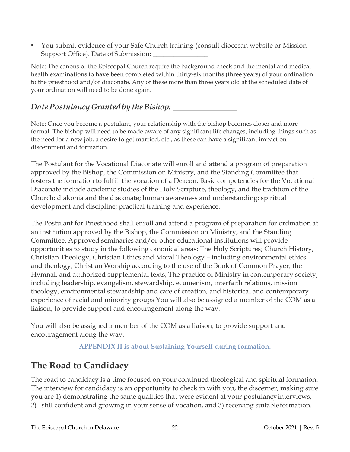You submit evidence of your Safe Church training (consult diocesan website or Mission Support Office). Date of Submission:

Note: The canons of the Episcopal Church require the background check and the mental and medical health examinations to have been completed within thirty-six months (three years) of your ordination to the priesthood and/or diaconate. Any of these more than three years old at the scheduled date of your ordination will need to be done again.

### *DatePostulancyGranted by theBishop:* \_\_\_\_\_\_\_\_\_\_\_\_\_\_\_\_

Note: Once you become a postulant, your relationship with the bishop becomes closer and more formal. The bishop will need to be made aware of any significant life changes, including things such as the need for a new job, a desire to get married, etc., as these can have a significant impact on discernment and formation.

The Postulant for the Vocational Diaconate will enroll and attend a program of preparation approved by the Bishop, the Commission on Ministry, and the Standing Committee that fosters the formation to fulfill the vocation of a Deacon. Basic competencies for the Vocational Diaconate include academic studies of the Holy Scripture, theology, and the tradition of the Church; diakonia and the diaconate; human awareness and understanding; spiritual development and discipline; practical training and experience.

The Postulant for Priesthood shall enroll and attend a program of preparation for ordination at an institution approved by the Bishop, the Commission on Ministry, and the Standing Committee. Approved seminaries and/or other educational institutions will provide opportunities to study in the following canonical areas: The Holy Scriptures; Church History, Christian Theology, Christian Ethics and Moral Theology – including environmental ethics and theology; Christian Worship according to the use of the Book of Common Prayer, the Hymnal, and authorized supplemental texts; The practice of Ministry in contemporary society, including leadership, evangelism, stewardship, ecumenism, interfaith relations, mission theology, environmental stewardship and care of creation, and historical and contemporary experience of racial and minority groups You will also be assigned a member of the COM as a liaison, to provide support and encouragement along the way.

You will also be assigned a member of the COM as a liaison, to provide support and encouragement along the way.

### **APPENDIX II is about Sustaining Yourself during formation.**

# **The Road to Candidacy**

The road to candidacy is a time focused on your continued theological and spiritual formation. The interview for candidacy is an opportunity to check in with you, the discerner, making sure you are 1) demonstrating the same qualities that were evident at your postulancyinterviews, 2) still confident and growing in your sense of vocation, and 3) receiving suitableformation.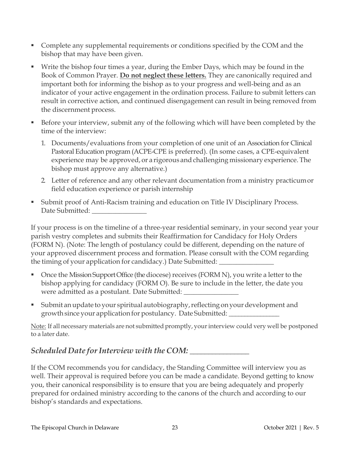- Complete any supplemental requirements or conditions specified by the COM and the bishop that may have been given.
- Write the bishop four times a year, during the Ember Days, which may be found in the Book of Common Prayer. **Do not neglect these letters.** They are canonically required and important both for informing the bishop as to your progress and well-being and as an indicator of your active engagement in the ordination process. Failure to submit letters can result in corrective action, and continued disengagement can result in being removed from the discernment process.
- Before your interview, submit any of the following which will have been completed by the time of the interview:
	- 1. Documents/evaluations from your completion of one unit of an Association for Clinical Pastoral Education program (ACPE-CPE is preferred). (In some cases, a CPE-equivalent experience may be approved, or a rigorous and challenging missionary experience. The bishop must approve any alternative.)
	- 2. Letter of reference and any other relevant documentation from a ministry practicumor field education experience or parish internship
- Submit proof of Anti-Racism training and education on Title IV Disciplinary Process. Date Submitted:

If your process is on the timeline of a three-year residential seminary, in your second year your parish vestry completes and submits their Reaffirmation for Candidacy for Holy Orders (FORM N). (Note: The length of postulancy could be different, depending on the nature of your approved discernment process and formation. Please consult with the COM regarding the timing of your application for candidacy.) Date Submitted:

- Once the Mission Support Office (the diocese) receives (FORM N), you write a letter to the bishop applying for candidacy (FORM O). Be sure to include in the letter, the date you were admitted as a postulant. Date Submitted:
- **Submit an update to your spiritual autobiography, reflecting on your development and** growth since your application for postulancy. Date Submitted: \_\_\_\_\_\_\_\_\_\_\_\_\_\_\_\_

Note: If all necessary materials are not submitted promptly, your interview could very well be postponed to a later date.

## *Scheduled Date forInterview with the COM: \_\_\_\_\_\_\_\_\_\_\_\_\_\_\_\_*

If the COM recommends you for candidacy, the Standing Committee will interview you as well. Their approval is required before you can be made a candidate. Beyond getting to know you, their canonical responsibility is to ensure that you are being adequately and properly prepared for ordained ministry according to the canons of the church and according to our bishop's standards and expectations.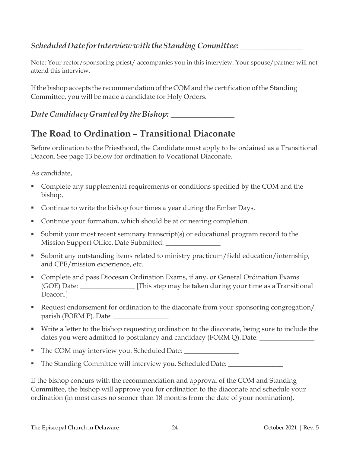### *ScheduledDate forInterview withtheStanding Committee: \_\_\_\_\_\_\_\_\_\_\_\_\_\_\_\_*

Note: Your rector/sponsoring priest/ accompanies you in this interview. Your spouse/partner will not attend this interview.

If the bishop accepts the recommendation of the COM and the certification of the Standing Committee, you will be made a candidate for Holy Orders.

*Date Candidacy Granted by the Bishop:*  $\blacksquare$ 

## **The Road to Ordination – Transitional Diaconate**

Before ordination to the Priesthood, the Candidate must apply to be ordained as a Transitional Deacon. See page 13 below for ordination to Vocational Diaconate.

As candidate,

- **Complete any supplemental requirements or conditions specified by the COM and the** bishop.
- Continue to write the bishop four times a year during the Ember Days.
- Continue your formation, which should be at or nearing completion.
- Submit your most recent seminary transcript(s) or educational program record to the Mission Support Office. Date Submitted:
- Submit any outstanding items related to ministry practicum/field education/internship, and CPE/mission experience, etc.
- **Complete and pass Diocesan Ordination Exams, if any, or General Ordination Exams** (GOE) Date: \_\_\_\_\_\_\_\_\_\_\_\_\_\_\_\_ [This step may be taken during your time as aTransitional Deacon.]
- Request endorsement for ordination to the diaconate from your sponsoring congregation/ parish (FORM P). Date: \_\_\_\_\_\_\_\_\_\_\_\_\_\_\_\_
- Write a letter to the bishop requesting ordination to the diaconate, being sure to include the dates you were admitted to postulancy and candidacy (FORM Q). Date: \_\_\_\_\_\_\_\_\_\_\_\_
- The COM may interview you. Scheduled Date: \_\_\_\_\_\_\_\_\_\_\_\_\_\_\_\_
- The Standing Committee will interview you. Scheduled Date: \_\_\_\_\_\_\_\_\_\_\_\_\_\_\_\_\_\_\_\_\_

If the bishop concurs with the recommendation and approval of the COM and Standing Committee, the bishop will approve you for ordination to the diaconate and schedule your ordination (in most cases no sooner than 18 months from the date of your nomination).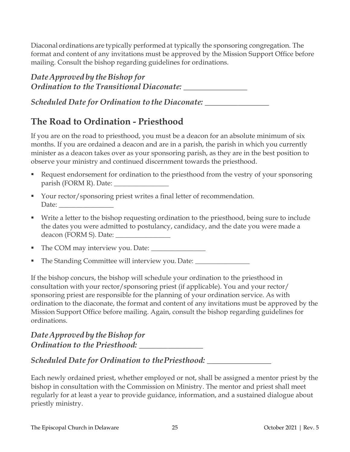Diaconal ordinations are typically performedat typically the sponsoring congregation. The format and content of any invitations must be approved by the Mission Support Office before mailing. Consult the bishop regarding guidelines for ordinations.

## *Date Approved by theBishop for Ordination to the Transitional Diaconate: \_\_\_\_\_\_\_\_\_\_\_\_\_\_\_\_*

*Scheduled Date for Ordination tothe Diaconate: \_\_\_\_\_\_\_\_\_\_\_\_\_\_\_\_*

# **The Road to Ordination - Priesthood**

If you are on the road to priesthood, you must be a deacon for an absolute minimum of six months. If you are ordained a deacon and are in a parish, the parish in which you currently minister as a deacon takes over as your sponsoring parish, as they are in the best position to observe your ministry and continued discernment towards the priesthood.

- Request endorsement for ordination to the priesthood from the vestry of your sponsoring parish (FORM R). Date: \_\_\_\_\_\_\_\_\_\_\_\_\_\_\_\_
- Your rector/sponsoring priest writes a final letter of recommendation. Date:
- Write a letter to the bishop requesting ordination to the priesthood, being sure to include the dates you were admitted to postulancy, candidacy, and the date you were made a deacon (FORM S). Date: \_\_\_\_\_\_\_\_\_\_\_\_\_\_\_\_
- The COM may interview you. Date:
- The Standing Committee will interview you. Date:

If the bishop concurs, the bishop will schedule your ordination to the priesthood in consultation with your rector/sponsoring priest (if applicable). You and your rector/ sponsoring priest are responsible for the planning of your ordination service. As with ordination to the diaconate, the format and content of any invitations must be approved by the Mission Support Office before mailing. Again, consult the bishop regarding guidelines for ordinations.

### *Date Approved* by *the Bishop for Ordination to the Priesthood:* **\_\_\_\_\_\_\_\_\_\_\_\_\_\_\_\_**

## *Scheduled Date for Ordination to thePriesthood: \_\_\_\_\_\_\_\_\_\_\_\_\_\_\_\_*

Each newly ordained priest, whether employed or not, shall be assigned a mentor priest by the bishop in consultation with the Commission on Ministry. The mentor and priest shall meet regularly for at least a year to provide guidance, information, and a sustained dialogue about priestly ministry.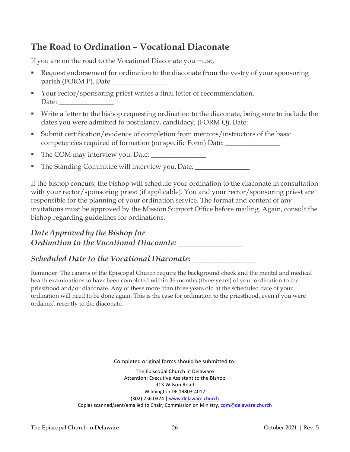# **The Road to Ordination – Vocational Diaconate**

If you are on the road to the Vocational Diaconate you must,

- Request endorsement for ordination to the diaconate from the vestry of your sponsoring parish (FORM P). Date: \_\_\_\_\_\_\_\_\_\_\_\_\_\_\_\_
- Your rector/sponsoring priest writes a final letter of recommendation. Date:
- Write a letter to the bishop requesting ordination to the diaconate, being sure to include the dates you were admitted to postulancy, candidacy, (FORM Q). Date:
- Submit certification/evidence of completion from mentors/instructors of the basic competencies required of formation (no specific Form) Date: \_\_\_\_\_\_\_\_\_\_\_\_\_\_\_\_
- The COM may interview you. Date: \_\_\_\_\_\_\_\_\_\_\_\_\_\_\_\_
- The Standing Committee will interview you. Date: \_\_\_\_\_\_\_\_\_\_\_\_\_\_\_\_\_\_\_\_\_\_\_\_\_\_\_\_\_\_\_

If the bishop concurs, the bishop will schedule your ordination to the diaconate in consultation with your rector/sponsoring priest (if applicable). You and your rector/sponsoring priest are responsible for the planning of your ordination service. The format and content of any invitations must be approved by the Mission Support Office before mailing. Again, consult the bishop regarding guidelines for ordinations.

## *Date Approved by theBishop for Ordination to the Vocational Diaconate:* \_\_\_\_\_\_\_\_\_\_\_\_\_\_\_\_

### *Scheduled Date to the Vocational Diaconate:* \_\_\_\_\_\_\_\_\_\_\_\_\_\_\_\_

Reminder: The canons of the Episcopal Church require the background check and the mental and medical health examinations to have been completed within 36 months (three years) of your ordination to the priesthood and/or diaconate. Any of these more than three years old at the scheduled date of your ordination will need to be done again. This is the case for ordination to the priesthood, even if you were ordained recently to the diaconate.

Completed original forms should be submitted to:

The Episcopal Church in Delaware Attention: Executive Assistant to the Bishop 913 Wilson Road Wilmington DE 19803-4012 (302) 256.0374 | [www.delaware.church](http://www.delaware.church/) Copies scanned/sent/emailed to Chair, Commission on Ministry, [com@delaware.church](mailto:com@delaware.church)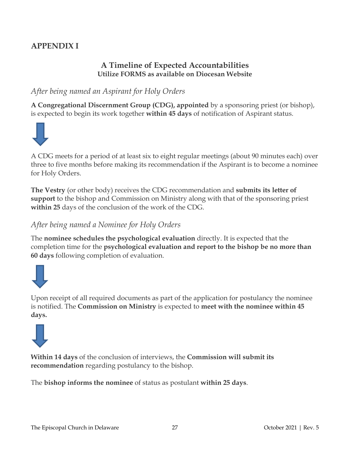## **APPENDIX I**

### **A Timeline of Expected Accountabilities Utilize FORMS as available on Diocesan Website**

### *After being named an Aspirant for Holy Orders*

**A Congregational Discernment Group (CDG), appointed** by a sponsoring priest (or bishop), is expected to begin its work together **within 45 days** of notification of Aspirant status.



A CDG meets for a period of at least six to eight regular meetings (about 90 minutes each) over three to five months before making its recommendation if the Aspirant is to become a nominee for Holy Orders.

**The Vestry** (or other body) receives the CDG recommendation and **submits its letter of support** to the bishop and Commission on Ministry along with that of the sponsoring priest **within 25** days of the conclusion of the work of the CDG.

### *After being named a Nominee for Holy Orders*

The **nominee schedules the psychological evaluation** directly. It is expected that the completion time for the **psychological evaluation and report to the bishop be no more than 60 days** following completion of evaluation.



Upon receipt of all required documents as part of the application for postulancy the nominee is notified. The **Commission on Ministry** is expected to **meet with the nominee within 45 days.**



**Within 14 days** of the conclusion of interviews, the **Commission will submit its recommendation** regarding postulancy to the bishop.

The **bishop informs the nominee** of status as postulant **within 25 days**.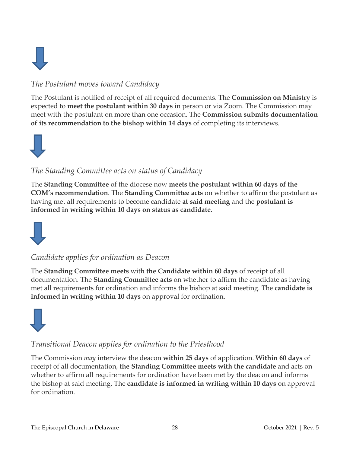

## *The Postulant moves toward Candidacy*

The Postulant is notified of receipt of all required documents. The **Commission on Ministry** is expected to **meet the postulant within 30 days** in person or via Zoom. The Commission may meet with the postulant on more than one occasion. The **Commission submits documentation of its recommendation to the bishop within 14 days** of completing its interviews.



### *The Standing Committee acts on status of Candidacy*

The **Standing Committee** of the diocese now **meets the postulant within 60 days of the COM's recommendation**. The **Standing Committee acts** on whether to affirm the postulant as having met all requirements to become candidate **at said meeting** and the **postulant is informed in writing within 10 days on status as candidate.**



### *Candidate applies for ordination as Deacon*

The **Standing Committee meets** with **the Candidate within 60 days** of receipt of all documentation. The **Standing Committee acts** on whether to affirm the candidate as having met all requirements for ordination and informs the bishop at said meeting. The **candidate is informed in writing within 10 days** on approval for ordination.



### *Transitional Deacon applies for ordination to the Priesthood*

The Commission *may* interview the deacon **within 25 days** of application. **Within 60 days** of receipt of all documentation, **the Standing Committee meets with the candidate** and acts on whether to affirm all requirements for ordination have been met by the deacon and informs the bishop at said meeting. The **candidate is informed in writing within 10 days** on approval for ordination.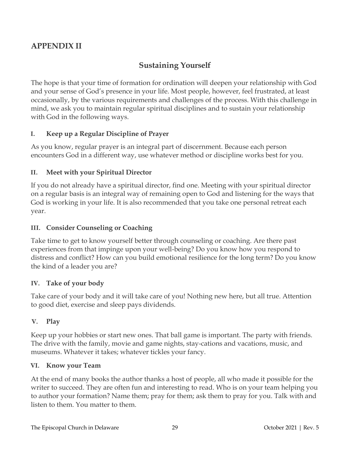### **APPENDIX II**

### **Sustaining Yourself**

The hope is that your time of formation for ordination will deepen your relationship with God and your sense of God's presence in your life. Most people, however, feel frustrated, at least occasionally, by the various requirements and challenges of the process. With this challenge in mind, we ask you to maintain regular spiritual disciplines and to sustain your relationship with God in the following ways.

#### **I. Keep up a Regular Discipline of Prayer**

As you know, regular prayer is an integral part of discernment. Because each person encounters God in a different way, use whatever method or discipline works best for you.

#### **II. Meet with your Spiritual Director**

If you do not already have a spiritual director, find one. Meeting with your spiritual director on a regular basis is an integral way of remaining open to God and listening for the ways that God is working in your life. It is also recommended that you take one personal retreat each year.

#### **III. Consider Counseling or Coaching**

Take time to get to know yourself better through counseling or coaching. Are there past experiences from that impinge upon your well-being? Do you know how you respond to distress and conflict? How can you build emotional resilience for the long term? Do you know the kind of a leader you are?

#### **IV. Take of your body**

Take care of your body and it will take care of you! Nothing new here, but all true. Attention to good diet, exercise and sleep pays dividends.

#### **V. Play**

Keep up your hobbies or start new ones. That ball game is important. The party with friends. The drive with the family, movie and game nights, stay-cations and vacations, music, and museums. Whatever it takes; whatever tickles your fancy.

#### **VI. Know your Team**

At the end of many books the author thanks a host of people, all who made it possible for the writer to succeed. They are often fun and interesting to read. Who is on your team helping you to author your formation? Name them; pray for them; ask them to pray for you. Talk with and listen to them. You matter to them.